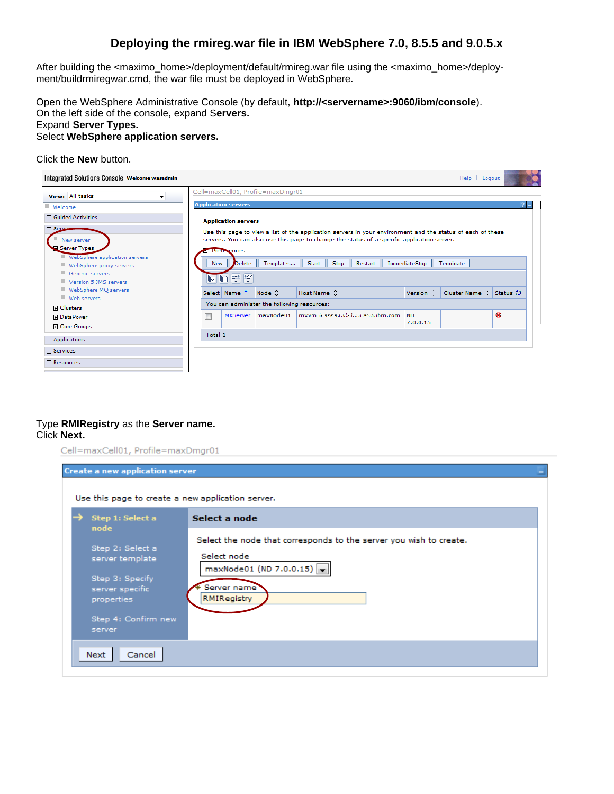# **Deploying the rmireg.war file in IBM WebSphere 7.0, 8.5.5 and 9.0.5.x**

After building the <maximo\_home>/deployment/default/rmireg.war file using the <maximo\_home>/deployment/buildrmiregwar.cmd, the war file must be deployed in WebSphere.

Open the WebSphere Administrative Console (by default, **http://<servername>:9060/ibm/console**). On the left side of the console, expand S**ervers.** Expand **Server Types.** Select **WebSphere application servers.**

#### Click the **New** button.

| Integrated Solutions Console Welcome wasadmin            |         |                            |                                             |                                                                                                                                                                                                           |                       | Help   Logout                             |   |
|----------------------------------------------------------|---------|----------------------------|---------------------------------------------|-----------------------------------------------------------------------------------------------------------------------------------------------------------------------------------------------------------|-----------------------|-------------------------------------------|---|
| View: All tasks<br>▼                                     |         |                            | Cell=maxCell01, Profile=maxDmgr01           |                                                                                                                                                                                                           |                       |                                           |   |
| Welcome                                                  |         | <b>Application servers</b> |                                             |                                                                                                                                                                                                           |                       |                                           |   |
| <b>田 Guided Activities</b>                               |         | <b>Application servers</b> |                                             |                                                                                                                                                                                                           |                       |                                           |   |
| El Sente<br>New server<br>Server Types                   |         | Preferences                |                                             | Use this page to view a list of the application servers in your environment and the status of each of these<br>servers. You can also use this page to change the status of a specific application server. |                       |                                           |   |
| WebSphere application servers<br>WebSphere proxy servers | New     | <b>Delete</b>              | Templates                                   | Start   <br>Stop<br>Restart                                                                                                                                                                               | ImmediateStop         | Terminate                                 |   |
| Generic servers<br>Version 5 JMS servers                 |         | 向自生毕                       |                                             |                                                                                                                                                                                                           |                       |                                           |   |
| WebSphere MQ servers<br>■ Web servers                    |         | Select Name C              | $Node ^$                                    | Host Name $\Diamond$                                                                                                                                                                                      | Version $\Diamond$    | Cluster Name $\Diamond$ Status $\Diamond$ |   |
| 田 Clusters                                               |         |                            | You can administer the following resources: |                                                                                                                                                                                                           |                       |                                           |   |
| <b>H</b> DataPower<br>田 Core Groups                      | $\Box$  | MXServer                   | maxNode01                                   | mxym-lesses.t.viab.ausb.n.ibm.com                                                                                                                                                                         | <b>ND</b><br>7.0.0.15 |                                           | œ |
| 田 Applications                                           | Total 1 |                            |                                             |                                                                                                                                                                                                           |                       |                                           |   |
| <b>田 Services</b>                                        |         |                            |                                             |                                                                                                                                                                                                           |                       |                                           |   |
| <b>田 Resources</b>                                       |         |                            |                                             |                                                                                                                                                                                                           |                       |                                           |   |
|                                                          |         |                            |                                             |                                                                                                                                                                                                           |                       |                                           |   |

### Type **RMIRegistry** as the **Server name.** Click **Next.**

| <b>Create a new application server</b>                                                                                   |                                                                                                                                            |
|--------------------------------------------------------------------------------------------------------------------------|--------------------------------------------------------------------------------------------------------------------------------------------|
| Use this page to create a new application server.                                                                        |                                                                                                                                            |
| Step 1: Select a<br>node                                                                                                 | Select a node                                                                                                                              |
| Step 2: Select a<br>server template<br>Step 3: Specify<br>server specific<br>properties<br>Step 4: Confirm new<br>server | Select the node that corresponds to the server you wish to create.<br>Select node<br>maxNode01 (ND 7.0.0.15)<br>Server name<br>RMIRegistry |
| Next<br>Cancel                                                                                                           |                                                                                                                                            |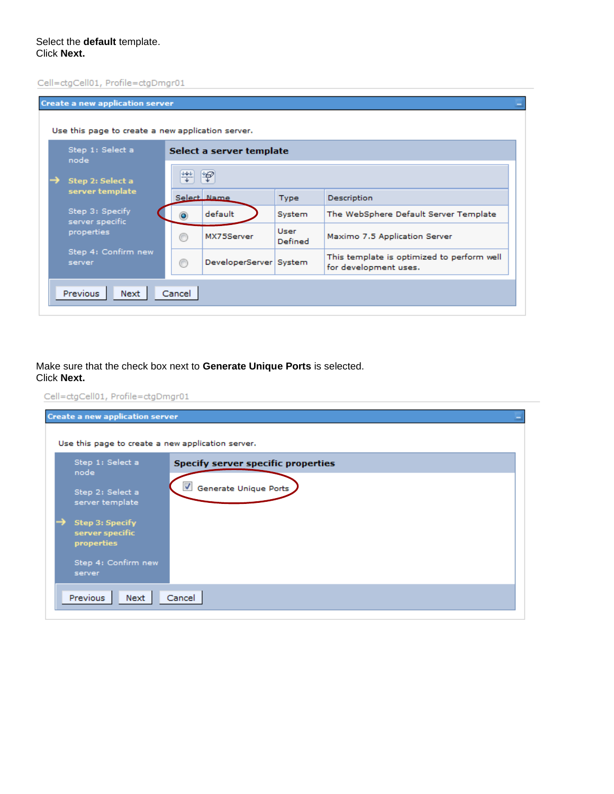Cell=ctgCell01, Profile=ctgDmgr01

| <b>Create a new application server</b><br>Use this page to create a new application server. |        |                          |                 |                                                                     |
|---------------------------------------------------------------------------------------------|--------|--------------------------|-----------------|---------------------------------------------------------------------|
| Step 1: Select a<br>node                                                                    |        | Select a server template |                 |                                                                     |
| Step 2: Select a                                                                            | ₩      | ķ                        |                 |                                                                     |
| server template                                                                             |        | Select Name              | <b>Type</b>     | Description                                                         |
| Step 3: Specify<br>server specific                                                          |        | default                  | System          | The WebSphere Default Server Template                               |
| properties                                                                                  |        | MX75Server               | User<br>Defined | Maximo 7.5 Application Server                                       |
| Step 4: Confirm new<br>server                                                               | ∩      | DeveloperServer   System |                 | This template is optimized to perform well<br>for development uses. |
| Previous<br>Next                                                                            | Cancel |                          |                 |                                                                     |

Make sure that the check box next to **Generate Unique Ports** is selected. Click **Next.**

| <b>Create a new application server</b>                          |                                                                    |
|-----------------------------------------------------------------|--------------------------------------------------------------------|
| Use this page to create a new application server.               |                                                                    |
| Step 1: Select a<br>node<br>Step 2: Select a<br>server template | <b>Specify server specific properties</b><br>Generate Unique Ports |
| →<br><b>Step 3: Specify</b><br>server specific<br>properties    |                                                                    |
| Step 4: Confirm new<br>server                                   |                                                                    |
| Previous<br>Next                                                | Cancel                                                             |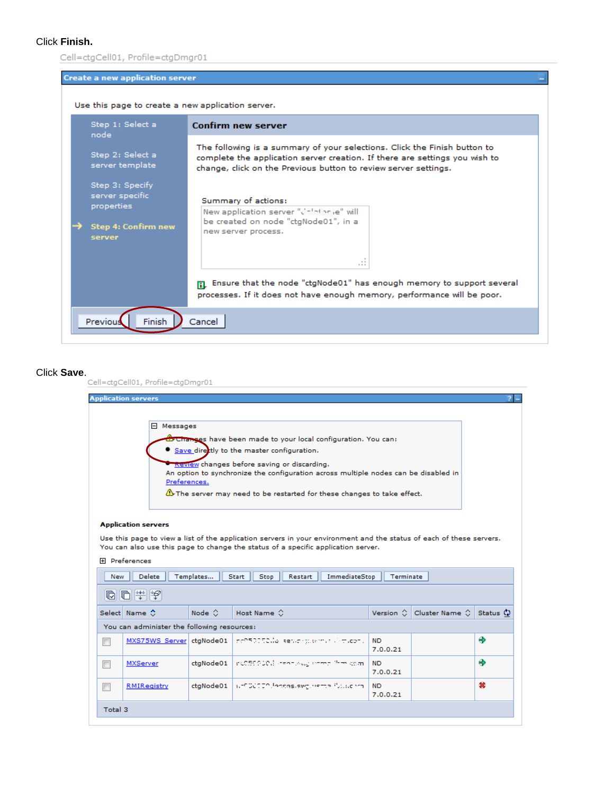## Click **Finish.**

| <b>Create a new application server</b>                                                   |                                                                                                                                                                                                                             |
|------------------------------------------------------------------------------------------|-----------------------------------------------------------------------------------------------------------------------------------------------------------------------------------------------------------------------------|
| Use this page to create a new application server.                                        |                                                                                                                                                                                                                             |
| Step 1: Select a<br>node                                                                 | <b>Confirm new server</b>                                                                                                                                                                                                   |
| Step 2: Select a<br>server template                                                      | The following is a summary of your selections. Click the Finish button to<br>complete the application server creation. If there are settings you wish to<br>change, click on the Previous button to review server settings. |
| Step 3: Specify<br>server specific<br>properties<br><b>Step 4: Confirm new</b><br>server | Summary of actions:<br>New application server "Colotionie" will<br>be created on node "ctgNode01", in a<br>new server process.                                                                                              |
|                                                                                          | -11                                                                                                                                                                                                                         |
|                                                                                          | $\mathbf{E}$ Ensure that the node "ctgNode01" has enough memory to support several<br>processes. If it does not have enough memory, performance will be poor.                                                               |
| Previous<br>Finish                                                                       | Cancel                                                                                                                                                                                                                      |

|                          | <b>Application servers</b>                  |                    |                                                                                                                                                                                                           |                       |                                   |   |
|--------------------------|---------------------------------------------|--------------------|-----------------------------------------------------------------------------------------------------------------------------------------------------------------------------------------------------------|-----------------------|-----------------------------------|---|
|                          |                                             |                    |                                                                                                                                                                                                           |                       |                                   |   |
|                          | 日 Messages                                  |                    |                                                                                                                                                                                                           |                       |                                   |   |
|                          |                                             |                    | <b>Brottanges</b> have been made to your local configuration. You can:                                                                                                                                    |                       |                                   |   |
|                          |                                             |                    | • Save directly to the master configuration.                                                                                                                                                              |                       |                                   |   |
|                          |                                             |                    | Review changes before saving or discarding.<br>An option to synchronize the configuration across multiple nodes can be disabled in                                                                        |                       |                                   |   |
|                          | Preferences.                                |                    |                                                                                                                                                                                                           |                       |                                   |   |
|                          |                                             |                    | $\Delta$ The server may need to be restarted for these changes to take effect.                                                                                                                            |                       |                                   |   |
|                          |                                             |                    |                                                                                                                                                                                                           |                       |                                   |   |
|                          |                                             |                    |                                                                                                                                                                                                           |                       |                                   |   |
|                          |                                             |                    |                                                                                                                                                                                                           |                       |                                   |   |
|                          | <b>Application servers</b>                  |                    |                                                                                                                                                                                                           |                       |                                   |   |
|                          |                                             |                    | Use this page to view a list of the application servers in your environment and the status of each of these servers.<br>You can also use this page to change the status of a specific application server. |                       |                                   |   |
|                          | 田 <b>Preferences</b>                        |                    |                                                                                                                                                                                                           |                       |                                   |   |
| New                      |                                             |                    |                                                                                                                                                                                                           |                       |                                   |   |
|                          | Delete                                      | Templates          | Stop<br>ImmediateStop<br>Start<br>Restart                                                                                                                                                                 | Terminate             |                                   |   |
|                          | 向门半夕                                        |                    |                                                                                                                                                                                                           |                       |                                   |   |
|                          | Select Name C                               | Node $\hat{\circ}$ | Host Name $\Diamond$                                                                                                                                                                                      |                       | Version ○ Cluster Name ○ Status ♡ |   |
|                          | You can administer the following resources: |                    |                                                                                                                                                                                                           |                       |                                   |   |
| F                        |                                             |                    | MXS75WS Server ctgNode01   ne050050 la server plears allemades.                                                                                                                                           | ND.                   |                                   |   |
|                          |                                             |                    |                                                                                                                                                                                                           | 7.0.0.21              |                                   | ⊕ |
|                          | MXServer                                    |                    | ctgNode01   nCSSSS-201   neon skwa sheep <sup>alima</sup> com-                                                                                                                                            | <b>ND</b>             |                                   | ⊕ |
| $\overline{\phantom{a}}$ | RMIRegistry                                 |                    | ctgNode01   NESCOTO Posses.swg.herea. Pauso rm.                                                                                                                                                           | 7.0.0.21<br><b>ND</b> |                                   | œ |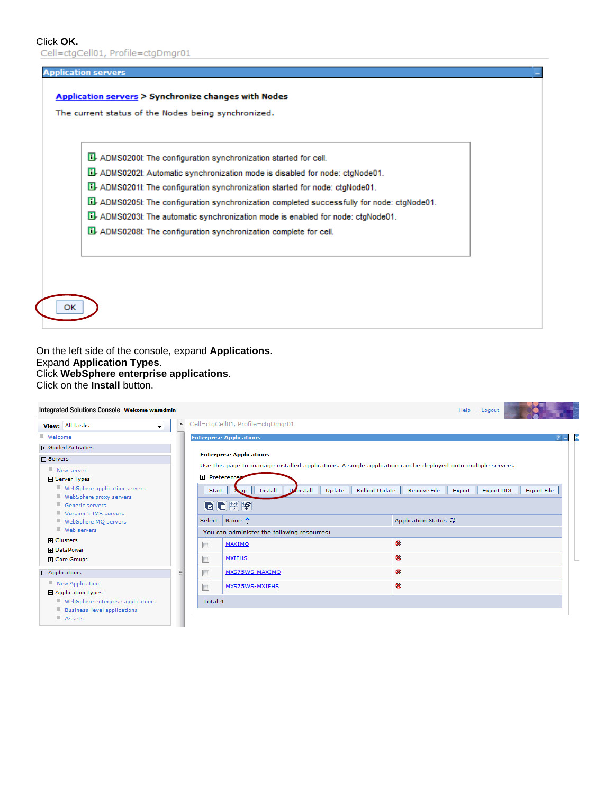Click OK.<br>Cell=ctgCell01, Profile=ctgDmgr01

| ADMS0200I: The configuration synchronization started for cell.                               |  |
|----------------------------------------------------------------------------------------------|--|
| El-ADMS0202I: Automatic synchronization mode is disabled for node: ctgNode01.                |  |
| Lil-ADMS0201l: The configuration synchronization started for node: ctgNode01.                |  |
| Lil-ADMS0205I: The configuration synchronization completed successfully for node: ctgNode01. |  |
| Lil-ADMS0203I: The automatic synchronization mode is enabled for node: ctgNode01.            |  |
| ADMS0208I: The configuration synchronization complete for cell.                              |  |

On the left side of the console, expand **Applications**. Expand **Application Types**. Click **WebSphere enterprise applications**. Click on the **Install** button.

| Integrated Solutions Console Welcome wasadmin                               |                          |                                                                                                             | Help   Logout                                                           |
|-----------------------------------------------------------------------------|--------------------------|-------------------------------------------------------------------------------------------------------------|-------------------------------------------------------------------------|
| View: All tasks<br>۰.                                                       |                          | Cell=ctgCell01, Profile=ctgDmgr01                                                                           |                                                                         |
| ■ Welcome                                                                   |                          | <b>Enterprise Applications</b>                                                                              | H                                                                       |
| 田 Guided Activities                                                         |                          |                                                                                                             |                                                                         |
| 日 Servers                                                                   |                          | <b>Enterprise Applications</b>                                                                              |                                                                         |
| New server                                                                  |                          | Use this page to manage installed applications. A single application can be deployed onto multiple servers. |                                                                         |
| 日 Server Types                                                              |                          | <b>田</b> Preferences                                                                                        |                                                                         |
| WebSphere application servers<br>WebSphere proxy servers<br>Generic servers |                          | Install<br>Uninstall<br>Update<br><b>Rollout Update</b><br>Start<br>Stop<br>同日半夕                            | <b>Export File</b><br><b>Remove File</b><br>Export<br><b>Export DDL</b> |
| Version 5 JMS servers<br>WebSphere MQ servers<br>Web servers                |                          | Select Name C                                                                                               | Application Status (2)                                                  |
| 田 Clusters                                                                  |                          | You can administer the following resources:                                                                 |                                                                         |
| 田 DataPower                                                                 | $\Box$                   | MAXIMO                                                                                                      | œ                                                                       |
| 田 Core Groups                                                               | $\Box$                   | <b>MXIEHS</b>                                                                                               | œ                                                                       |
| 日 Applications                                                              | $\overline{\phantom{a}}$ | MXS75WS-MAXIMO                                                                                              | œ                                                                       |
| New Application<br>日 Application Types                                      | П                        | MXS75WS-MXIEHS                                                                                              | œ                                                                       |
| WebSphere enterprise applications<br>Business-level applications            |                          | Total 4                                                                                                     |                                                                         |
| Assets                                                                      |                          |                                                                                                             |                                                                         |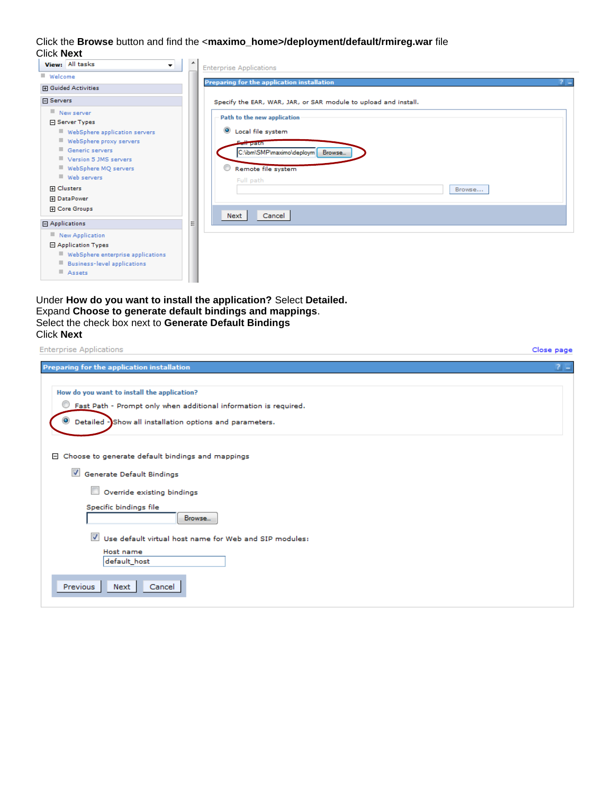Click the **Browse** button and find the <**maximo\_home>/deployment/default/rmireg.war** file Click **Next**

| View: All tasks<br>▼               | <b>Enterprise Applications</b>                                  |       |
|------------------------------------|-----------------------------------------------------------------|-------|
| Welcome                            | Preparing for the application installation                      |       |
| <b>H</b> Guided Activities         |                                                                 | $2 -$ |
| 日 Servers                          | Specify the EAR, WAR, JAR, or SAR module to upload and install. |       |
| New server                         | Path to the new application                                     |       |
| □ Server Types                     |                                                                 |       |
| WebSphere application servers      | $\bullet$<br>Local file system                                  |       |
| WebSphere proxy servers            | Fair path                                                       |       |
| Generic servers                    | C:\ibm\SMP\maximo\deploym   Browse                              |       |
| Version 5 JMS servers              |                                                                 |       |
| WebSphere MQ servers               | Remote file system                                              |       |
| Web servers                        | Full path                                                       |       |
| <b>H</b> Clusters                  | Browse                                                          |       |
| <b>H</b> DataPower                 |                                                                 |       |
| 田 Core Groups                      |                                                                 |       |
|                                    | Cancel<br>Next                                                  |       |
| $\Box$ Applications                | Ξ                                                               |       |
| New Application                    |                                                                 |       |
| 日 Application Types                |                                                                 |       |
| WebSphere enterprise applications  |                                                                 |       |
| <b>Business-level applications</b> |                                                                 |       |
| Assets                             |                                                                 |       |
|                                    |                                                                 |       |

Under **How do you want to install the application?** Select **Detailed.** Expand **Choose to generate default bindings and mappings**. Select the check box next to **Generate Default Bindings** Click **Next**

| <b>Enterprise Applications</b>                                        | Close page |
|-----------------------------------------------------------------------|------------|
| Preparing for the application installation                            | $2 -$      |
| How do you want to install the application?                           |            |
| Fast Path - Prompt only when additional information is required.<br>O |            |
| Detailed - Show all installation options and parameters.              |            |
|                                                                       |            |
| Choose to generate default bindings and mappings<br>8                 |            |
| Generate Default Bindings                                             |            |
| $\Box$<br>Override existing bindings                                  |            |
| Specific bindings file<br>Browse                                      |            |
| Use default virtual host name for Web and SIP modules:                |            |
| Host name<br>default_host                                             |            |
| Previous<br>Next<br>Cancel                                            |            |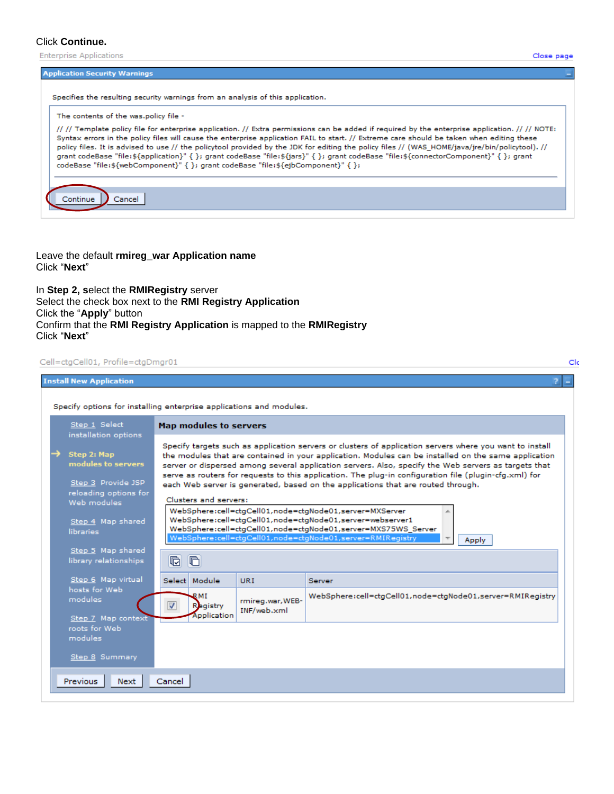#### Click **Continue.**

**Enterprise Applications** 

#### **Application Security Warnings**

Specifies the resulting security warnings from an analysis of this application.

#### The contents of the was.policy file -

// // Template policy file for enterprise application. // Extra permissions can be added if required by the enterprise application. // // NOTE: Syntax errors in the policy files will cause the enterprise application FAIL to start. // Extreme care should be taken when editing these policy files. It is advised to use // the policytool provided by the JDK for editing the policy files // (WAS\_HOME/java/jre/bin/policytool). // grant codeBase "file:\${application}" { }; grant codeBase "file:\${jars}" { }; grant codeBase "file:\${connectorComponent}" { }; grant codeBase "file:\${webComponent}" { }; grant codeBase "file:\${ejbComponent}" { }; Continue Cancel

Leave the default **rmireg\_war Application name** Click "**Next**"

In **Step 2, s**elect the **RMIRegistry** server Select the check box next to the **RMI Registry Application** Click the "**Apply**" button Confirm that the **RMI Registry Application** is mapped to the **RMIRegistry** Click "**Next**"

#### Cell=ctgCell01, Profile=ctgDmgr01

| <b>Install New Application</b>                                                   |                                                                                                                                                                                                                                                                                                                                                                                                                                                                                                                        |
|----------------------------------------------------------------------------------|------------------------------------------------------------------------------------------------------------------------------------------------------------------------------------------------------------------------------------------------------------------------------------------------------------------------------------------------------------------------------------------------------------------------------------------------------------------------------------------------------------------------|
|                                                                                  | Specify options for installing enterprise applications and modules.                                                                                                                                                                                                                                                                                                                                                                                                                                                    |
| Step 1 Select<br>installation options                                            | Map modules to servers                                                                                                                                                                                                                                                                                                                                                                                                                                                                                                 |
| Step 2: Map<br>modules to servers<br>Step 3 Provide JSP<br>reloading options for | Specify targets such as application servers or clusters of application servers where you want to install<br>the modules that are contained in your application. Modules can be installed on the same application<br>server or dispersed among several application servers. Also, specify the Web servers as targets that<br>serve as routers for requests to this application. The plug-in configuration file (plugin-cfg.xml) for<br>each Web server is generated, based on the applications that are routed through. |
| Web modules<br>Step 4 Map shared<br>libraries                                    | Clusters and servers:<br>WebSphere:cell=ctgCell01,node=ctgNode01,server=MXServer<br>WebSphere:cell=ctgCell01,node=ctgNode01,server=webserver1<br>WebSphere:cell=ctgCell01,node=ctgNode01,server=MXS75WS_Server<br>WebSphere:cell=ctqCell01,node=ctqNode01,server=RMIRegistry<br>Apply                                                                                                                                                                                                                                  |
| Step 5 Map shared<br>library relationships                                       | $\overline{\mathbb{G}}$<br>$\blacksquare$                                                                                                                                                                                                                                                                                                                                                                                                                                                                              |
| Step 6 Map virtual                                                               | Select Module<br>URI<br>Server                                                                                                                                                                                                                                                                                                                                                                                                                                                                                         |
| hosts for Web<br><i>modules</i><br>Step 7 Map context                            | WebSphere:cell=ctaCell01,node=ctaNode01,server=RMIRegistry<br>RMI<br>rmireg.war, WEB-<br><b>Registry</b><br>√<br>INF/web.xml<br>Application                                                                                                                                                                                                                                                                                                                                                                            |
| roots for Web<br>modules                                                         |                                                                                                                                                                                                                                                                                                                                                                                                                                                                                                                        |
| Step 8 Summary<br>Previous<br>Next                                               | Cancel                                                                                                                                                                                                                                                                                                                                                                                                                                                                                                                 |

Clc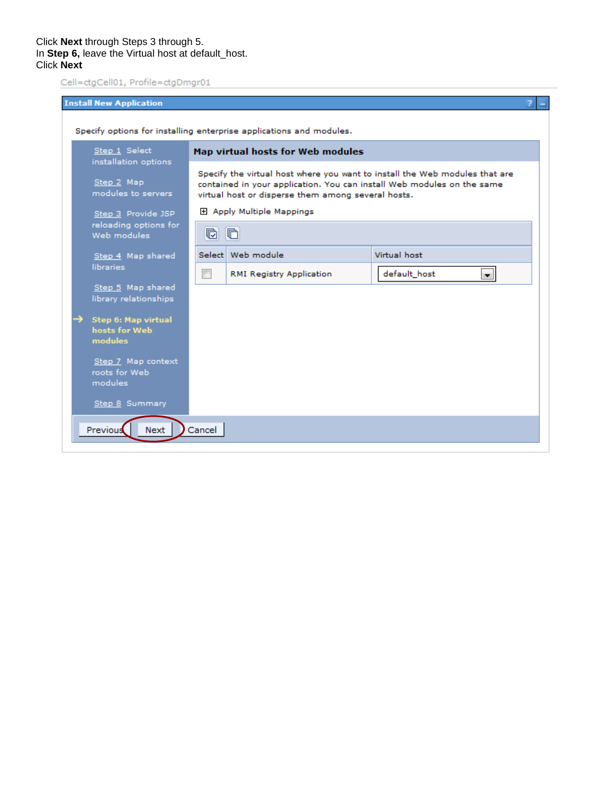|                                                                     | <b>Install New Application</b>                         |                           |                                                                                                                                                                                                             |                                |  |  |  |  |
|---------------------------------------------------------------------|--------------------------------------------------------|---------------------------|-------------------------------------------------------------------------------------------------------------------------------------------------------------------------------------------------------------|--------------------------------|--|--|--|--|
| Specify options for installing enterprise applications and modules. |                                                        |                           |                                                                                                                                                                                                             |                                |  |  |  |  |
|                                                                     | Step 1 Select<br>installation options                  |                           | Map virtual hosts for Web modules                                                                                                                                                                           |                                |  |  |  |  |
|                                                                     | Step 2 Map<br>modules to servers                       |                           | Specify the virtual host where you want to install the Web modules that are<br>contained in your application. You can install Web modules on the same<br>virtual host or disperse them among several hosts. |                                |  |  |  |  |
|                                                                     | Step 3 Provide JSP                                     | 田 Apply Multiple Mappings |                                                                                                                                                                                                             |                                |  |  |  |  |
|                                                                     | reloading options for<br>Web modules                   | <b>r</b>                  | $\blacksquare$                                                                                                                                                                                              |                                |  |  |  |  |
|                                                                     | Step 4 Map shared                                      |                           | Select   Web module                                                                                                                                                                                         | Virtual host                   |  |  |  |  |
|                                                                     | libraries                                              | $\Box$                    | RMI Registry Application                                                                                                                                                                                    | default_host<br>$\blacksquare$ |  |  |  |  |
|                                                                     | Step 5 Map shared<br>library relationships             |                           |                                                                                                                                                                                                             |                                |  |  |  |  |
|                                                                     | <b>Step 6: Map virtual</b><br>hosts for Web<br>modules |                           |                                                                                                                                                                                                             |                                |  |  |  |  |
|                                                                     | Step 7 Map context<br>roots for Web<br>modules         |                           |                                                                                                                                                                                                             |                                |  |  |  |  |
|                                                                     | Step 8 Summary                                         |                           |                                                                                                                                                                                                             |                                |  |  |  |  |
|                                                                     | Previous<br>Next                                       | Cancel                    |                                                                                                                                                                                                             |                                |  |  |  |  |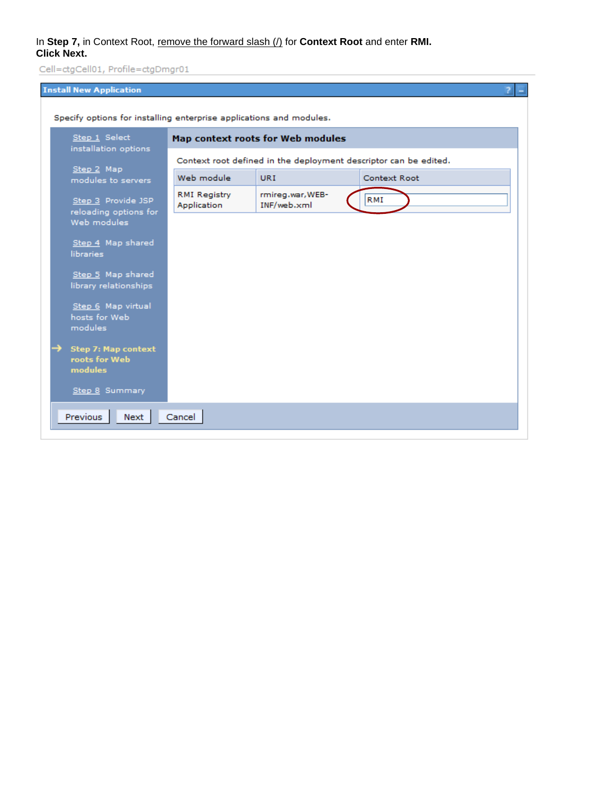# In **Step 7,** in Context Root, remove the forward slash (/) for **Context Root** and enter **RMI. Click Next.**

| <b>Install New Application</b>                                      |                                   |                                 | 2<br>E                                                           |  |  |  |
|---------------------------------------------------------------------|-----------------------------------|---------------------------------|------------------------------------------------------------------|--|--|--|
| Specify options for installing enterprise applications and modules. |                                   |                                 |                                                                  |  |  |  |
| Step 1 Select<br>installation options                               | Map context roots for Web modules |                                 |                                                                  |  |  |  |
|                                                                     |                                   |                                 | Context root defined in the deployment descriptor can be edited. |  |  |  |
| Step 2 Map<br>modules to servers                                    | Web module                        | <b>URI</b>                      | Context Root                                                     |  |  |  |
| Step 3 Provide JSP<br>reloading options for                         | RMI Registry<br>Application       | rmireg.war, WEB-<br>INF/web.xml | RMI                                                              |  |  |  |
| Web modules                                                         |                                   |                                 |                                                                  |  |  |  |
| Step 4 Map shared<br>libraries                                      |                                   |                                 |                                                                  |  |  |  |
| Step 5 Map shared<br>library relationships                          |                                   |                                 |                                                                  |  |  |  |
| Step 6 Map virtual<br>hosts for Web<br>modules                      |                                   |                                 |                                                                  |  |  |  |
| <b>Step 7: Map context</b><br>roots for Web<br>modules              |                                   |                                 |                                                                  |  |  |  |
| Step 8 Summary                                                      |                                   |                                 |                                                                  |  |  |  |
| Previous<br>Next                                                    | Cancel                            |                                 |                                                                  |  |  |  |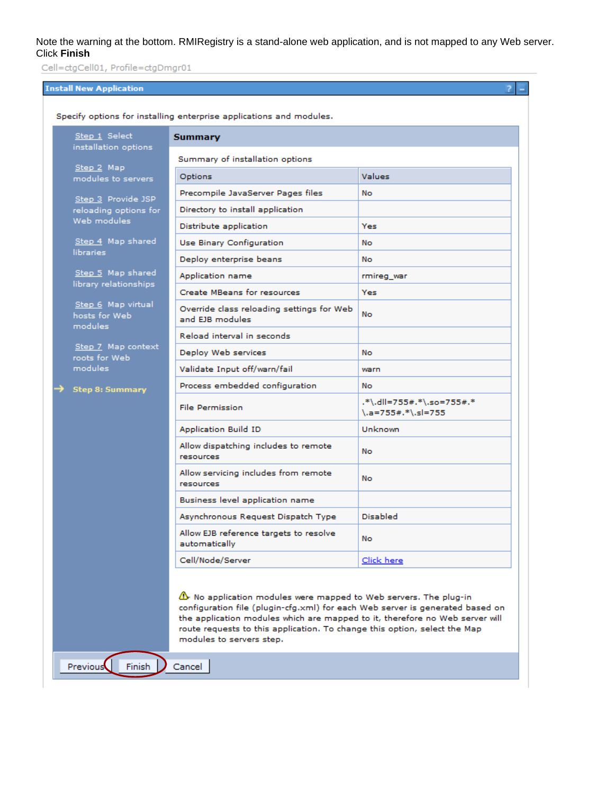Note the warning at the bottom. RMIRegistry is a stand-alone web application, and is not mapped to any Web server. Click **Finish**

> $\overline{z}$ ш

Cell=ctgCell01, Profile=ctgDmgr01

# **Install New Application**

| Specify options for installing enterprise applications and modules. |                                                                                                                                                                                                                                   |                                                                    |  |  |  |  |
|---------------------------------------------------------------------|-----------------------------------------------------------------------------------------------------------------------------------------------------------------------------------------------------------------------------------|--------------------------------------------------------------------|--|--|--|--|
| Step 1 Select<br>installation options                               | <b>Summary</b>                                                                                                                                                                                                                    |                                                                    |  |  |  |  |
|                                                                     | Summary of installation options                                                                                                                                                                                                   |                                                                    |  |  |  |  |
| Step 2 Map<br>modules to servers                                    | Options                                                                                                                                                                                                                           | <b>Values</b>                                                      |  |  |  |  |
| Step 3 Provide JSP                                                  | Precompile JavaServer Pages files                                                                                                                                                                                                 | <b>No</b>                                                          |  |  |  |  |
| reloading options for                                               | Directory to install application                                                                                                                                                                                                  |                                                                    |  |  |  |  |
| Web modules                                                         | Distribute application                                                                                                                                                                                                            | Yes                                                                |  |  |  |  |
| Step 4 Map shared                                                   | <b>Use Binary Configuration</b>                                                                                                                                                                                                   | <b>No</b>                                                          |  |  |  |  |
| libraries                                                           | Deploy enterprise beans                                                                                                                                                                                                           | No.                                                                |  |  |  |  |
| Step 5 Map shared                                                   | Application name                                                                                                                                                                                                                  | rmireg_war                                                         |  |  |  |  |
| library relationships                                               | <b>Create MBeans for resources</b>                                                                                                                                                                                                | Yes                                                                |  |  |  |  |
| Step 6 Map virtual<br>hosts for Web<br>modules                      | Override class reloading settings for Web<br>and EJB modules.                                                                                                                                                                     | No                                                                 |  |  |  |  |
| Step 7 Map context<br>roots for Web<br><i>modules</i>               | Reload interval in seconds                                                                                                                                                                                                        |                                                                    |  |  |  |  |
|                                                                     | Deploy Web services                                                                                                                                                                                                               | No                                                                 |  |  |  |  |
|                                                                     | Validate Input off/warn/fail                                                                                                                                                                                                      | warn                                                               |  |  |  |  |
| <b>Step 8: Summary</b>                                              | Process embedded configuration                                                                                                                                                                                                    | No.                                                                |  |  |  |  |
|                                                                     | <b>File Permission</b>                                                                                                                                                                                                            | .*\.dll=755#.*\.so=755#.*<br>$\lambda$ .a=755#.* $\lambda$ .sl=755 |  |  |  |  |
|                                                                     | <b>Application Build ID</b>                                                                                                                                                                                                       | Unknown                                                            |  |  |  |  |
|                                                                     | Allow dispatching includes to remote<br>resources                                                                                                                                                                                 | No.                                                                |  |  |  |  |
|                                                                     | Allow servicing includes from remote<br>resources                                                                                                                                                                                 | No.                                                                |  |  |  |  |
|                                                                     | Business level application name                                                                                                                                                                                                   |                                                                    |  |  |  |  |
|                                                                     | Asynchronous Request Dispatch Type                                                                                                                                                                                                | <b>Disabled</b>                                                    |  |  |  |  |
|                                                                     | Allow EJB reference targets to resolve<br>automatically                                                                                                                                                                           | No.                                                                |  |  |  |  |
|                                                                     | Cell/Node/Server                                                                                                                                                                                                                  | Click here                                                         |  |  |  |  |
|                                                                     | A No application modules were mapped to Web servers. The plug-in<br>configuration file (plugin-cfg.xml) for each Web server is generated based on<br>the application modules which are mapped to it, therefore no Web server will |                                                                    |  |  |  |  |
|                                                                     | route requests to this application. To change this option, select the Map<br>modules to servers step.                                                                                                                             |                                                                    |  |  |  |  |
| <b>Previous</b><br>Finish                                           | Cancel                                                                                                                                                                                                                            |                                                                    |  |  |  |  |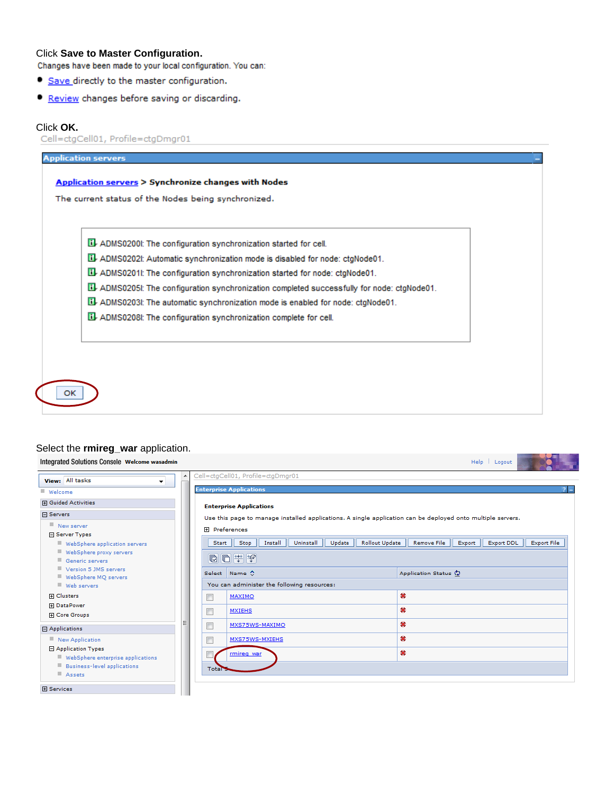Click **Save to Master Configuration.**

- Save directly to the master configuration.
- Review changes before saving or discarding.

Click OK.<br>Cell=ctgCell01, Profile=ctgDmgr01

| El-ADMS0202I: Automatic synchronization mode is disabled for node: ctgNode01.                |  |
|----------------------------------------------------------------------------------------------|--|
| Lil-ADMS0201I: The configuration synchronization started for node: ctgNode01.                |  |
| Lil-ADMS0205I: The configuration synchronization completed successfully for node: ctgNode01. |  |
| LL ADMS0203I: The automatic synchronization mode is enabled for node: ctgNode01.             |  |
| ADMS0208I: The configuration synchronization complete for cell.                              |  |

# Select the **rmireg\_war** application.

| Integrated Solutions Console Welcome wasadmin                                                              |                  |                                                                                                                                     | Help   Logout                                                    |
|------------------------------------------------------------------------------------------------------------|------------------|-------------------------------------------------------------------------------------------------------------------------------------|------------------------------------------------------------------|
| View: All tasks<br>▼                                                                                       |                  | Cell=ctgCell01, Profile=ctgDmgr01<br><b>Enterprise Applications</b>                                                                 |                                                                  |
| Welcome<br><b>田</b> Guided Activities                                                                      |                  | <b>Enterprise Applications</b>                                                                                                      |                                                                  |
| 日 Servers<br>New server<br>日 Server Types                                                                  |                  | Use this page to manage installed applications. A single application can be deployed onto multiple servers.<br><b>田</b> Preferences |                                                                  |
| WebSphere application servers<br>WebSphere proxy servers<br>Generic servers                                | Start            | Install<br>Uninstall<br>Update<br><b>Rollout Update</b><br>Stop<br>同日半夕                                                             | Remove File<br><b>Export File</b><br>Export<br><b>Export DDL</b> |
| Version 5 JMS servers<br>WebSphere MQ servers<br>Web servers                                               |                  | Select Name C<br>You can administer the following resources:                                                                        | Application Status (2)                                           |
| 田 Clusters<br>田 DataPower<br><b>H</b> Core Groups                                                          | $\Box$<br>$\Box$ | MAXIMO<br><b>MXIEHS</b>                                                                                                             | œ<br>œ                                                           |
| □ Applications                                                                                             | $\Box$           | MXS75WS-MAXIMO                                                                                                                      | $\bullet$                                                        |
| New Application<br>日 Application Types<br>WebSphere enterprise applications<br>Business-level applications | $\Box$           | MXS75WS-MXIEHS<br>rmireg war                                                                                                        | œ<br>$\bullet$                                                   |
| Assets<br><b>田 Services</b>                                                                                | Total            |                                                                                                                                     |                                                                  |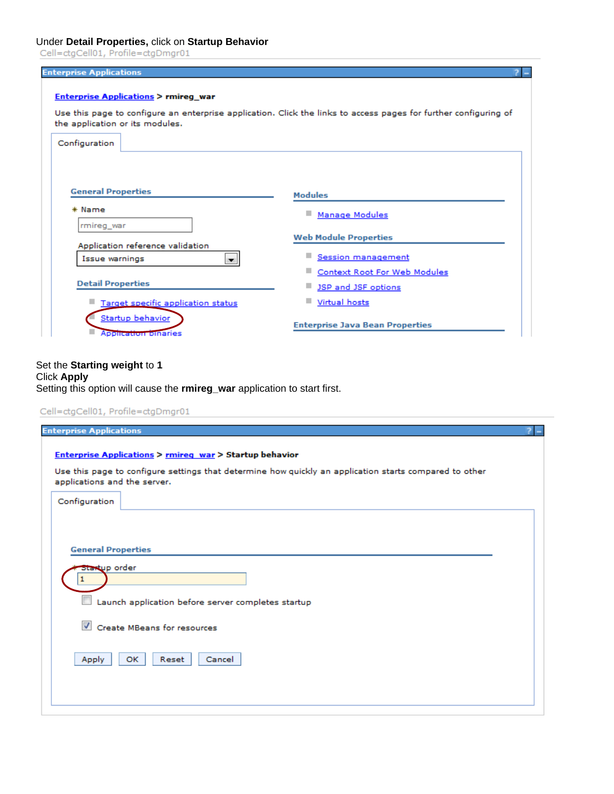# Under **Detail Properties,** click on **Startup Behavior**

| Configuration                              |                                                                   |  |  |
|--------------------------------------------|-------------------------------------------------------------------|--|--|
| <b>General Properties</b>                  | <b>Modules</b>                                                    |  |  |
| * Name<br>rmireg war                       | ٠<br><b>Manage Modules</b>                                        |  |  |
| Application reference validation           | <b>Web Module Properties</b>                                      |  |  |
|                                            | <b>Session management</b>                                         |  |  |
| Issue warnings<br>$\overline{\phantom{a}}$ |                                                                   |  |  |
| <b>Detail Properties</b>                   | <b>Context Root For Web Modules</b><br><b>JSP and JSF options</b> |  |  |

### Set the **Starting weight** to **1** Click **Apply** Setting this option will cause the **rmireg\_war** application to start first.

|                           | applications and the server.                       |
|---------------------------|----------------------------------------------------|
| Configuration             |                                                    |
|                           |                                                    |
| <b>General Properties</b> |                                                    |
| Startup order             |                                                    |
|                           |                                                    |
|                           |                                                    |
|                           | Launch application before server completes startup |
| $\overline{\mathcal{A}}$  | Create MBeans for resources                        |
| Apply                     | <b>OK</b><br>Reset<br>Cancel                       |